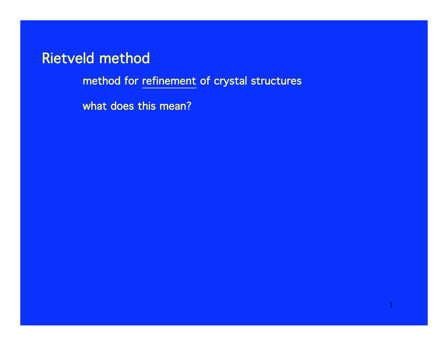method for refinement of crystal structures

what does this mean?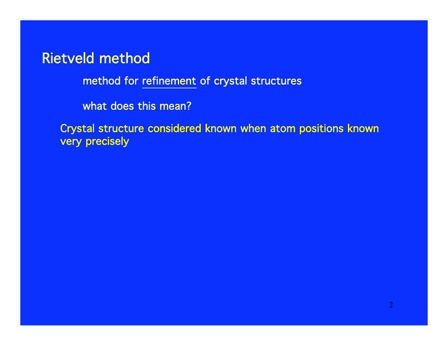method for refinement of crystal structures

what does this mean?

Crystal structure considered known when atom positions known very precisely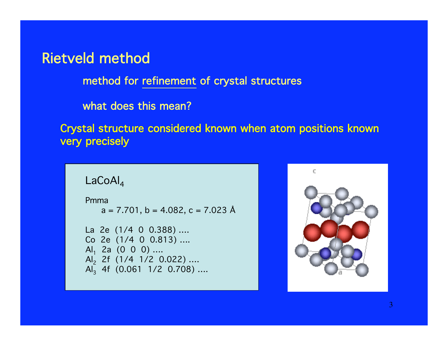method for refinement of crystal structures

what does this mean?

Crystal structure considered known when atom positions known very precisely

```
LaCoAl_4\,
```
Pmma  $a = 7.701$ ,  $b = 4.082$ ,  $c = 7.023$  Å

```
La 2e (1/4 0 0.388) ….
Co 2e (1/4 0 0.813) ….
Al<sub>1</sub> 2a (0 0 0) ....
Al
2 2f (1/4 1/2 0.022) ….
Al<sub>3</sub> 4f (0.061 1/2 0.708) ....
```
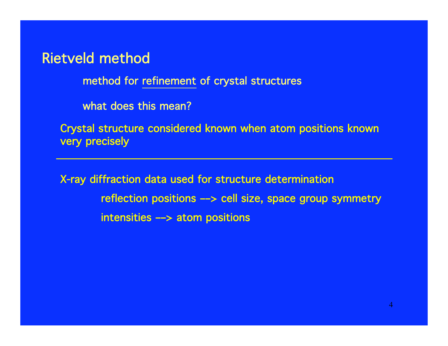method for refinement of crystal structures

what does this mean?

Crystal structure considered known when atom positions known very precisely

X-ray diffraction data used for structure determination reflection positions ––> cell size, space group symmetry intensities ––> atom positions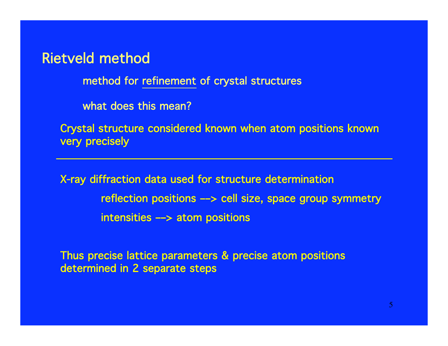method for refinement of crystal structures

what does this mean?

Crystal structure considered known when atom positions known very precisely

X-ray diffraction data used for structure determination reflection positions ––> cell size, space group symmetry intensities ––> atom positions

Thus precise lattice parameters & precise atom positions determined in 2 separate steps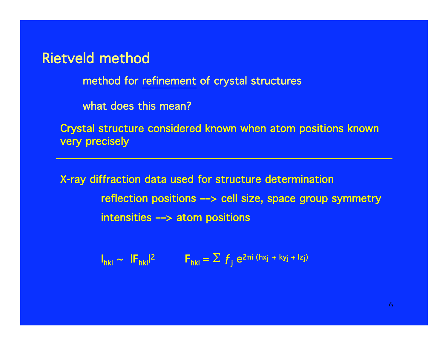method for refinement of crystal structures

what does this mean?

Crystal structure considered known when atom positions known very precisely

X-ray diffraction data used for structure determination reflection positions ––> cell size, space group symmetry intensities ––> atom positions

 $I_{hkl} \sim I F_{hkl}$ |<sup>2</sup> F<sub>hkl</sub> =  $\sum f_j e^{2\pi i (hx_j + ky_j + Iz_j)}$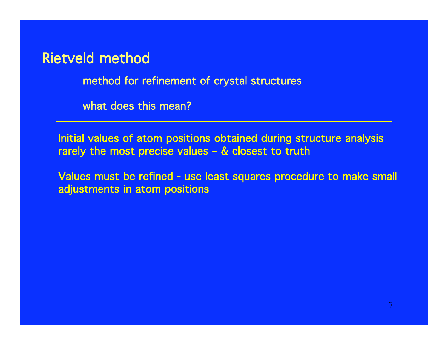method for refinement of crystal structures

what does this mean?

Initial values of atom positions obtained during structure analysis rarely the most precise values – & closest to truth

Values must be refined - use least squares procedure to make small adjustments in atom positions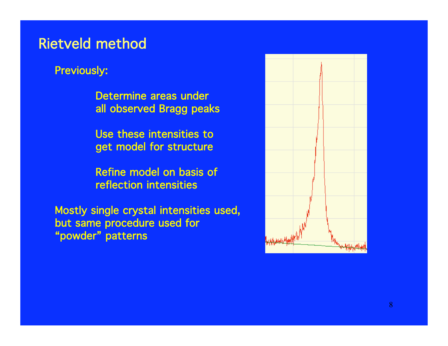#### Previously:

Determine areas under all observed Bragg peaks

Use these intensities to get model for structure

Refine model on basis of reflection intensities

Mostly single crystal intensities used, but same procedure used for "powder" patterns

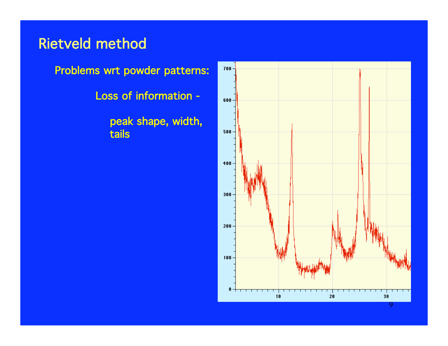

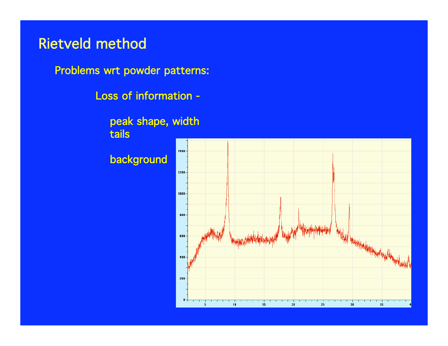Problems wrt powder patterns:

Loss of information -

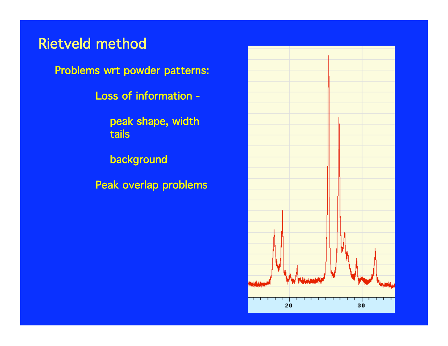Problems wrt powder patterns:

Loss of information -

 peak shape, width tails

background

Peak overlap problems

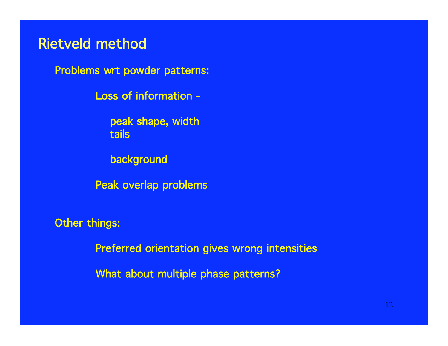Problems wrt powder patterns:

Loss of information -

 peak shape, width tails

background

Peak overlap problems

Other things:

Preferred orientation gives wrong intensities

What about multiple phase patterns?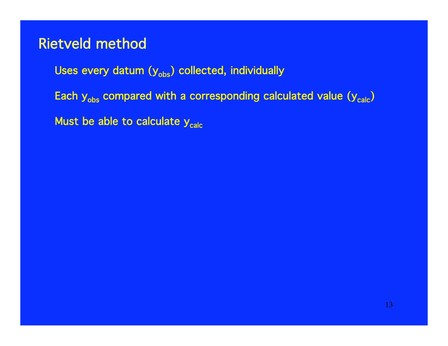Uses every datum  $(y_{obs})$  collected, individually

Each  $y_{obs}$  compared with a corresponding calculated value  $(y_{calc})$ 

Must be able to calculate  $y_{calc}$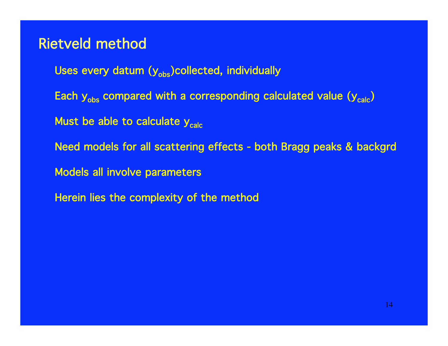- Uses every datum  $(y_{obs})$ collected, individually
- Each  $y_{obs}$  compared with a corresponding calculated value  $(y_{calc})$
- Must be able to calculate  $y_{calc}$
- Need models for all scattering effects both Bragg peaks & backgrd
- Models all involve parameters
- Herein lies the complexity of the method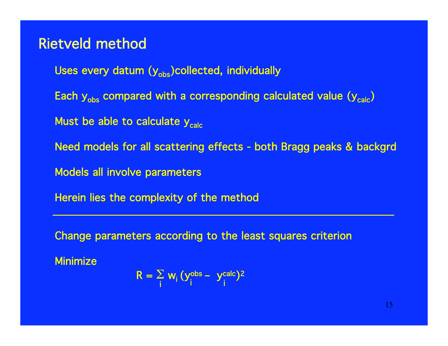Uses every datum  $(y_{obs})$ collected, individually

Each  $y_{obs}$  compared with a corresponding calculated value  $(y_{calc})$ 

Must be able to calculate  $y_{calc}$ 

Need models for all scattering effects - both Bragg peaks & backgrd

Models all involve parameters

Herein lies the complexity of the method

Change parameters according to the least squares criterion

**Minimize** 

$$
R = \sum_{i} w_i (y_i^{obs} - y_i^{calc})^2
$$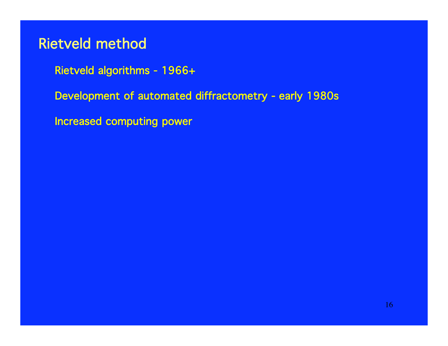- Rietveld algorithms 1966+
- Development of automated diffractometry early 1980s
- Increased computing power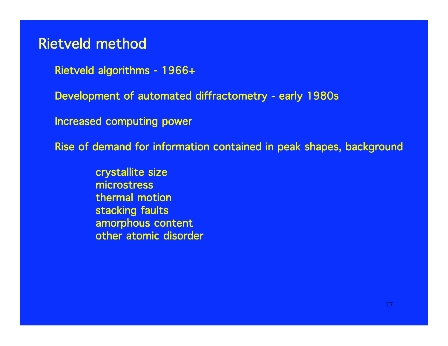Rietveld algorithms - 1966+

Development of automated diffractometry - early 1980s

Increased computing power

Rise of demand for information contained in peak shapes, background

crystallite size microstress thermal motion stacking faults amorphous content other atomic disorder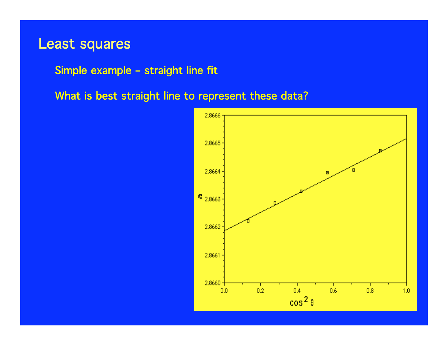Simple example – straight line fit

What is best straight line to represent these data?

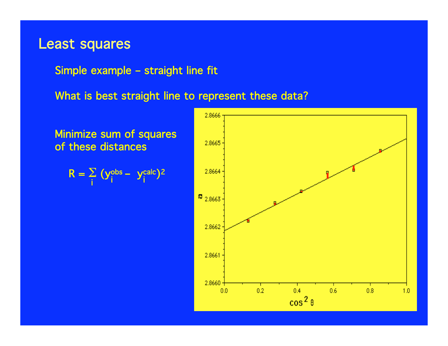Simple example – straight line fit

What is best straight line to represent these data?

Minimize sum of squares of these distances

$$
R = \sum_{i} (y_i^{obs} - y_i^{calc})^2
$$

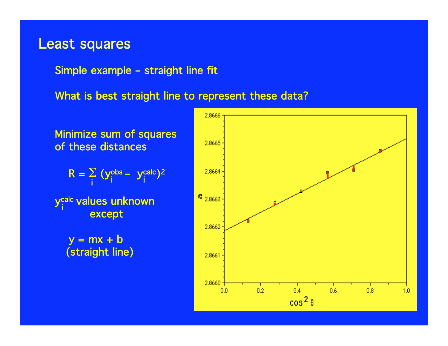Simple example – straight line fit

What is best straight line to represent these data?

Minimize sum of squares of these distances

$$
R = \sum_{i} (y_i^{obs} - y_i^{calc})^2
$$

y<sup>calc</sup> values unknown except i

 $y = mx + b$ (straight line)

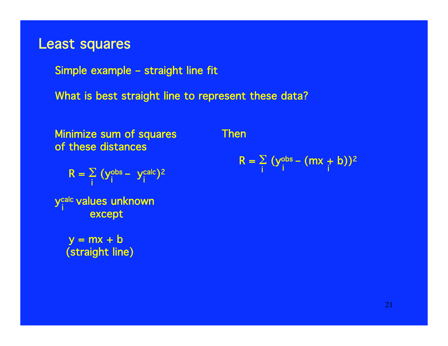Simple example – straight line fit

What is best straight line to represent these data?

Minimize sum of squares of these distances

$$
R = \sum_{i} (y_i^{obs} - y_i^{calc})^2
$$

y<sup>calc</sup> values unknown except i

 $y = mx + b$ (straight line) Then

$$
R = \sum_{i} (y_i^{obs} - (mx + b))^2
$$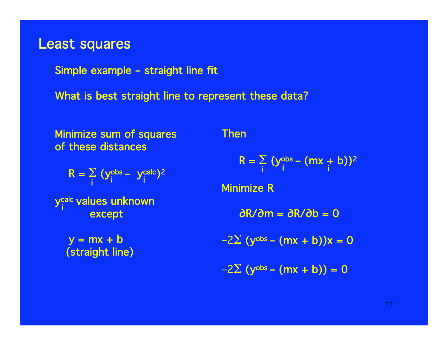Simple example – straight line fit

What is best straight line to represent these data?

Minimize sum of squares of these distances

$$
R = \sum_{i} (y_i^{obs} - y_i^{calc})^2
$$

y<sup>calc</sup> values unknown except i

 $y = mx + b$ (straight line) Then

$$
R = \sum_i (y_i^{obs} - (mx + b))^2
$$

Minimize R

∂R/∂m = ∂R/∂b = 0

$$
-2\Sigma (y^{obs} - (mx + b))x = 0
$$

 $-2\Sigma$  (y<sup>obs</sup> – (mx + b)) = 0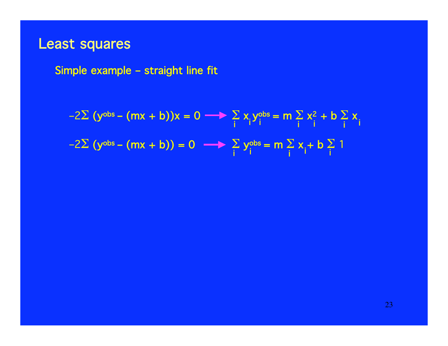Simple example – straight line fit

i  $-2\Sigma$  (y<sup>obs</sup> – (mx + b))x = 0  $\longrightarrow$   $\Sigma$  x<sub>i</sub>y<sup>obs</sup> = m  $\Sigma$  x<sup>2</sup> + b  $\Sigma$  x  $-2\Sigma$  (y<sup>obs</sup> – (mx + b)) = 0  $\longrightarrow$   $\Sigma$  y<sup>obs</sup> = m  $\Sigma$  x<sub>i</sub> + b  $\Sigma$  1 i i i i i i i i 'i i i i